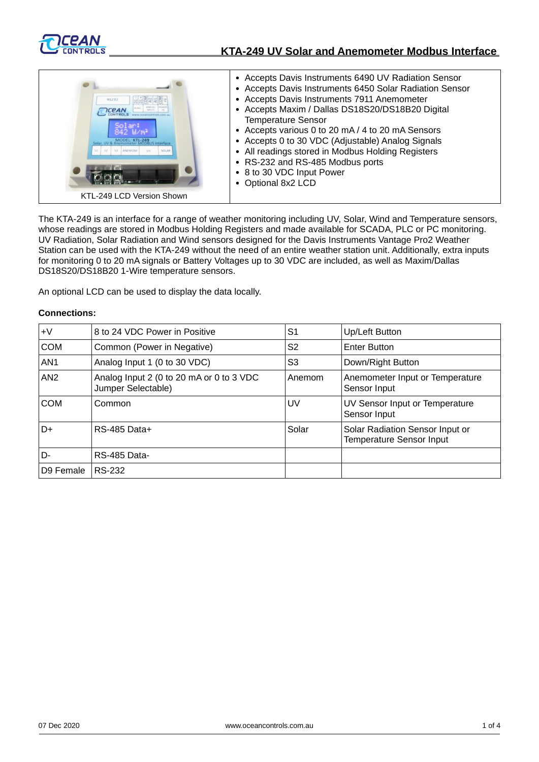

# **KTA-249 UV Solar and Anemometer Modbus Interface**



The KTA-249 is an interface for a range of weather monitoring including UV, Solar, Wind and Temperature sensors, whose readings are stored in Modbus Holding Registers and made available for SCADA, PLC or PC monitoring. UV Radiation, Solar Radiation and Wind sensors designed for the Davis Instruments Vantage Pro2 Weather Station can be used with the KTA-249 without the need of an entire weather station unit. Additionally, extra inputs for monitoring 0 to 20 mA signals or Battery Voltages up to 30 VDC are included, as well as Maxim/Dallas DS18S20/DS18B20 1-Wire temperature sensors.

An optional LCD can be used to display the data locally.

### **Connections:**

| $+V$            | 8 to 24 VDC Power in Positive                                  | S <sub>1</sub> | Up/Left Button                                                     |
|-----------------|----------------------------------------------------------------|----------------|--------------------------------------------------------------------|
| <b>COM</b>      | Common (Power in Negative)                                     | S <sub>2</sub> | <b>Enter Button</b>                                                |
| AN <sub>1</sub> | Analog Input 1 (0 to 30 VDC)                                   | S3             | Down/Right Button                                                  |
| AN2             | Analog Input 2 (0 to 20 mA or 0 to 3 VDC<br>Jumper Selectable) | Anemom         | Anemometer Input or Temperature<br>Sensor Input                    |
| <b>COM</b>      | Common                                                         | UV             | UV Sensor Input or Temperature<br>Sensor Input                     |
| D+              | <b>RS-485 Data+</b>                                            | Solar          | Solar Radiation Sensor Input or<br><b>Temperature Sensor Input</b> |
| D-              | RS-485 Data-                                                   |                |                                                                    |
| D9 Female       | RS-232                                                         |                |                                                                    |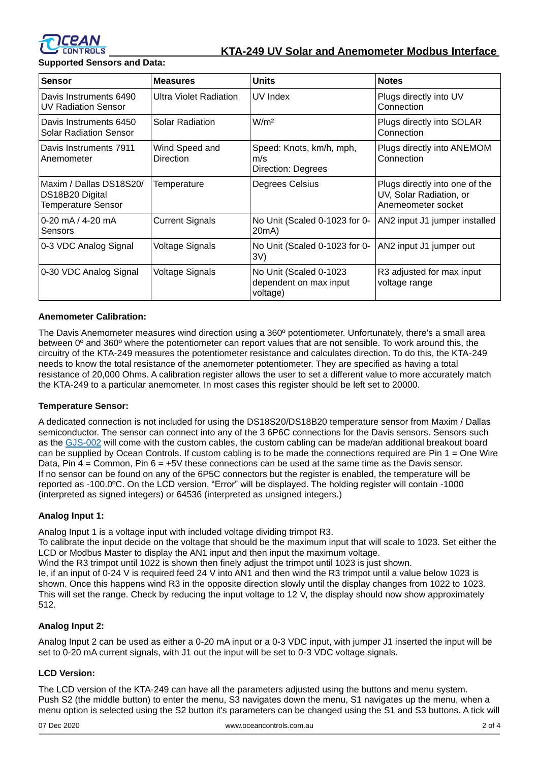

## **KTA-249 UV Solar and Anemometer Modbus Interface**

**Supported Sensors and Data:**

| <b>Sensor</b>                                                           | <b>Measures</b>                    | <b>Units</b>                                                 | <b>Notes</b>                                                                    |
|-------------------------------------------------------------------------|------------------------------------|--------------------------------------------------------------|---------------------------------------------------------------------------------|
| Davis Instruments 6490<br>UV Radiation Sensor                           | Ultra Violet Radiation             | UV Index                                                     | Plugs directly into UV<br>Connection                                            |
| Davis Instruments 6450<br>Solar Radiation Sensor                        | <b>Solar Radiation</b>             | W/m <sup>2</sup>                                             | Plugs directly into SOLAR<br>Connection                                         |
| Davis Instruments 7911<br>Anemometer                                    | Wind Speed and<br><b>Direction</b> | Speed: Knots, km/h, mph,<br>m/s<br>Direction: Degrees        | Plugs directly into ANEMOM<br>Connection                                        |
| Maxim / Dallas DS18S20/<br>DS18B20 Digital<br><b>Temperature Sensor</b> | Temperature                        | Degrees Celsius                                              | Plugs directly into one of the<br>UV, Solar Radiation, or<br>Anemeometer socket |
| $0-20$ mA $/$ 4-20 mA<br>Sensors                                        | <b>Current Signals</b>             | No Unit (Scaled 0-1023 for 0-<br>20mA)                       | AN2 input J1 jumper installed                                                   |
| 0-3 VDC Analog Signal                                                   | <b>Voltage Signals</b>             | No Unit (Scaled 0-1023 for 0-<br>3V)                         | AN2 input J1 jumper out                                                         |
| 0-30 VDC Analog Signal                                                  | <b>Voltage Signals</b>             | No Unit (Scaled 0-1023<br>dependent on max input<br>voltage) | R3 adjusted for max input<br>voltage range                                      |

## **Anemometer Calibration:**

The Davis Anemometer measures wind direction using a 360º potentiometer. Unfortunately, there's a small area between 0º and 360º where the potentiometer can report values that are not sensible. To work around this, the circuitry of the KTA-249 measures the potentiometer resistance and calculates direction. To do this, the KTA-249 needs to know the total resistance of the anemometer potentiometer. They are specified as having a total resistance of 20,000 Ohms. A calibration register allows the user to set a different value to more accurately match the KTA-249 to a particular anemometer. In most cases this register should be left set to 20000.

#### **Temperature Sensor:**

A dedicated connection is not included for using the DS18S20/DS18B20 temperature sensor from Maxim / Dallas semiconductor. The sensor can connect into any of the 3 6P6C connections for the Davis sensors. Sensors such as the [GJS-002](https://oceancontrols.com.au/gjs-002.html) will come with the custom cables, the custom cabling can be made/an additional breakout board can be supplied by Ocean Controls. If custom cabling is to be made the connections required are Pin 1 = One Wire Data, Pin  $4 =$  Common, Pin  $6 = +5V$  these connections can be used at the same time as the Davis sensor. If no sensor can be found on any of the 6P5C connectors but the register is enabled, the temperature will be reported as -100.0ºC. On the LCD version, "Error" will be displayed. The holding register will contain -1000 (interpreted as signed integers) or 64536 (interpreted as unsigned integers.)

#### **Analog Input 1:**

Analog Input 1 is a voltage input with included voltage dividing trimpot R3.

To calibrate the input decide on the voltage that should be the maximum input that will scale to 1023. Set either the LCD or Modbus Master to display the AN1 input and then input the maximum voltage.

Wind the R3 trimpot until 1022 is shown then finely adjust the trimpot until 1023 is just shown.

Ie, if an input of 0-24 V is required feed 24 V into AN1 and then wind the R3 trimpot until a value below 1023 is shown. Once this happens wind R3 in the opposite direction slowly until the display changes from 1022 to 1023. This will set the range. Check by reducing the input voltage to 12 V, the display should now show approximately 512.

## **Analog Input 2:**

Analog Input 2 can be used as either a 0-20 mA input or a 0-3 VDC input, with jumper J1 inserted the input will be set to 0-20 mA current signals, with J1 out the input will be set to 0-3 VDC voltage signals.

#### **LCD Version:**

The LCD version of the KTA-249 can have all the parameters adjusted using the buttons and menu system. Push S2 (the middle button) to enter the menu, S3 navigates down the menu, S1 navigates up the menu, when a menu option is selected using the S2 button it's parameters can be changed using the S1 and S3 buttons. A tick will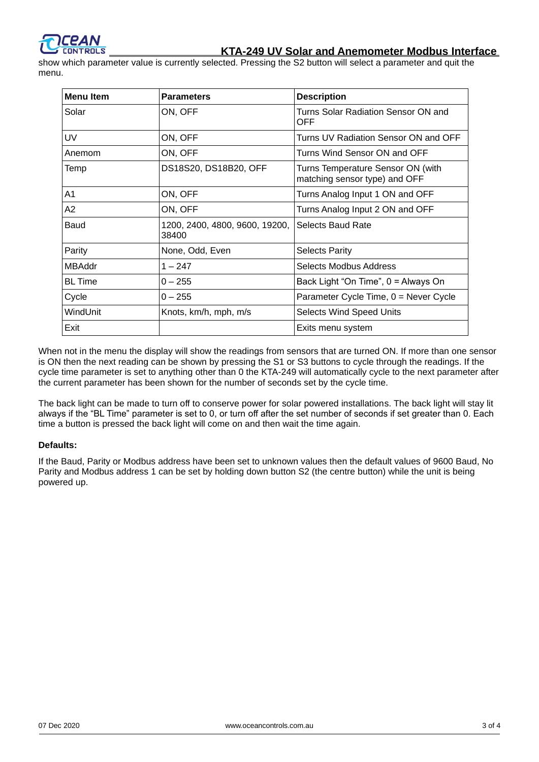

show which parameter value is currently selected. Pressing the S2 button will select a parameter and quit the menu.

| <b>Menu Item</b> | <b>Parameters</b>                       | <b>Description</b>                                                 |
|------------------|-----------------------------------------|--------------------------------------------------------------------|
| Solar            | ON, OFF                                 | Turns Solar Radiation Sensor ON and<br><b>OFF</b>                  |
| UV               | ON, OFF                                 | Turns UV Radiation Sensor ON and OFF                               |
| Anemom           | ON, OFF                                 | Turns Wind Sensor ON and OFF                                       |
| Temp             | DS18S20, DS18B20, OFF                   | Turns Temperature Sensor ON (with<br>matching sensor type) and OFF |
| A <sub>1</sub>   | ON, OFF                                 | Turns Analog Input 1 ON and OFF                                    |
| A2               | ON, OFF                                 | Turns Analog Input 2 ON and OFF                                    |
| Baud             | 1200, 2400, 4800, 9600, 19200,<br>38400 | Selects Baud Rate                                                  |
| Parity           | None, Odd, Even                         | <b>Selects Parity</b>                                              |
| <b>MBAddr</b>    | $1 - 247$                               | Selects Modbus Address                                             |
| <b>BL</b> Time   | $0 - 255$                               | Back Light "On Time", 0 = Always On                                |
| Cycle            | $0 - 255$                               | Parameter Cycle Time, $0 =$ Never Cycle                            |
| WindUnit         | Knots, km/h, mph, m/s                   | <b>Selects Wind Speed Units</b>                                    |
| Exit             |                                         | Exits menu system                                                  |

When not in the menu the display will show the readings from sensors that are turned ON. If more than one sensor is ON then the next reading can be shown by pressing the S1 or S3 buttons to cycle through the readings. If the cycle time parameter is set to anything other than 0 the KTA-249 will automatically cycle to the next parameter after the current parameter has been shown for the number of seconds set by the cycle time.

The back light can be made to turn off to conserve power for solar powered installations. The back light will stay lit always if the "BL Time" parameter is set to 0, or turn off after the set number of seconds if set greater than 0. Each time a button is pressed the back light will come on and then wait the time again.

#### **Defaults:**

If the Baud, Parity or Modbus address have been set to unknown values then the default values of 9600 Baud, No Parity and Modbus address 1 can be set by holding down button S2 (the centre button) while the unit is being powered up.